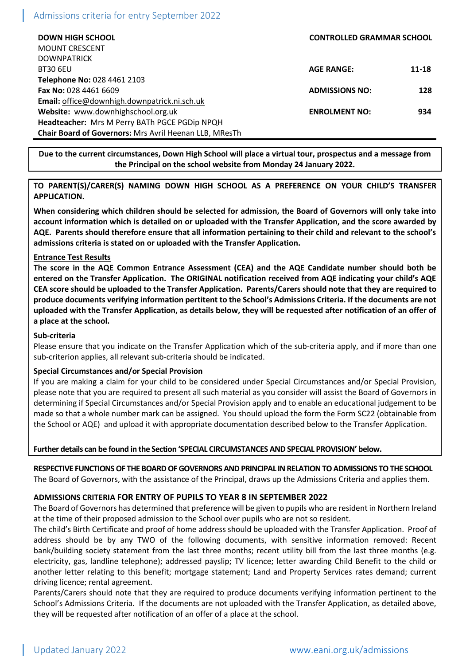# Admissions criteria for entry September 2022

| <b>DOWN HIGH SCHOOL</b>                                       | <b>CONTROLLED GRAMMAR SCHOOL</b> |           |
|---------------------------------------------------------------|----------------------------------|-----------|
| <b>MOUNT CRESCENT</b>                                         |                                  |           |
| <b>DOWNPATRICK</b>                                            |                                  |           |
| <b>BT30 6EU</b>                                               | <b>AGE RANGE:</b>                | $11 - 18$ |
| Telephone No: 028 4461 2103                                   |                                  |           |
| <b>Fax No: 028 4461 6609</b>                                  | <b>ADMISSIONS NO:</b>            | 128       |
| Email: office@downhigh.downpatrick.ni.sch.uk                  |                                  |           |
| Website: www.downhighschool.org.uk                            | <b>ENROLMENT NO:</b>             | 934       |
| Headteacher: Mrs M Perry BATh PGCE PGDip NPQH                 |                                  |           |
| <b>Chair Board of Governors: Mrs Avril Heenan LLB, MResTh</b> |                                  |           |

**Due to the current circumstances, Down High School will place a virtual tour, prospectus and a message from the Principal on the school website from Monday 24 January 2022.**

# **TO PARENT(S)/CARER(S) NAMING DOWN HIGH SCHOOL AS A PREFERENCE ON YOUR CHILD'S TRANSFER APPLICATION.**

**When considering which children should be selected for admission, the Board of Governors will only take into account information which is detailed on or uploaded with the Transfer Application, and the score awarded by AQE. Parents should therefore ensure that all information pertaining to their child and relevant to the school's admissions criteria is stated on or uploaded with the Transfer Application.**

# **Entrance Test Results**

**The score in the AQE Common Entrance Assessment (CEA) and the AQE Candidate number should both be entered on the Transfer Application. The ORIGINAL notification received from AQE indicating your child's AQE CEA score should be uploaded to the Transfer Application. Parents/Carers should note that they are required to produce documents verifying information pertitent to the School's Admissions Criteria. If the documents are not uploaded with the Transfer Application, as details below, they will be requested after notification of an offer of a place at the school.** 

## **Sub-criteria**

Please ensure that you indicate on the Transfer Application which of the sub-criteria apply, and if more than one sub-criterion applies, all relevant sub-criteria should be indicated.

#### **Special Circumstances and/or Special Provision**

If you are making a claim for your child to be considered under Special Circumstances and/or Special Provision, please note that you are required to present all such material as you consider will assist the Board of Governors in determining if Special Circumstances and/or Special Provision apply and to enable an educational judgement to be made so that a whole number mark can be assigned. You should upload the form the Form SC22 (obtainable from the School or AQE) and upload it with appropriate documentation described below to the Transfer Application.

#### **Further details can be found in the Section 'SPECIAL CIRCUMSTANCES AND SPECIAL PROVISION' below.**

# **RESPECTIVE FUNCTIONS OF THE BOARD OF GOVERNORS AND PRINCIPAL IN RELATION TO ADMISSIONS TO THE SCHOOL**

The Board of Governors, with the assistance of the Principal, draws up the Admissions Criteria and applies them.

# **ADMISSIONS CRITERIA FOR ENTRY OF PUPILS TO YEAR 8 IN SEPTEMBER 2022**

The Board of Governors has determined that preference will be given to pupils who are resident in Northern Ireland at the time of their proposed admission to the School over pupils who are not so resident.

The child's Birth Certificate and proof of home address should be uploaded with the Transfer Application. Proof of address should be by any TWO of the following documents, with sensitive information removed: Recent bank/building society statement from the last three months; recent utility bill from the last three months (e.g. electricity, gas, landline telephone); addressed payslip; TV licence; letter awarding Child Benefit to the child or another letter relating to this benefit; mortgage statement; Land and Property Services rates demand; current driving licence; rental agreement.

Parents/Carers should note that they are required to produce documents verifying information pertinent to the School's Admissions Criteria. If the documents are not uploaded with the Transfer Application, as detailed above, they will be requested after notification of an offer of a place at the school.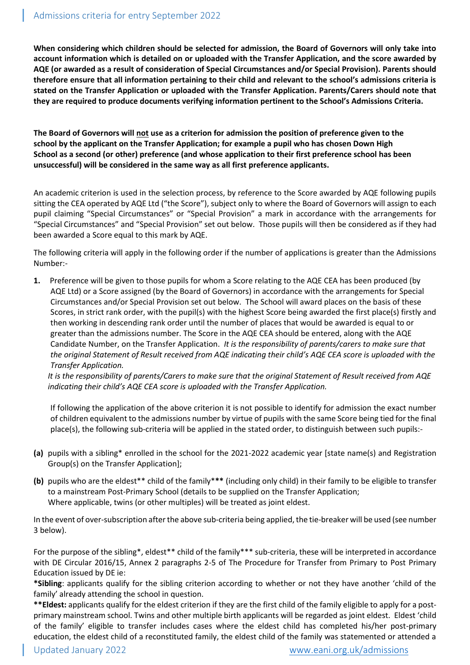**When considering which children should be selected for admission, the Board of Governors will only take into account information which is detailed on or uploaded with the Transfer Application, and the score awarded by AQE (or awarded as a result of consideration of Special Circumstances and/or Special Provision). Parents should therefore ensure that all information pertaining to their child and relevant to the school's admissions criteria is stated on the Transfer Application or uploaded with the Transfer Application. Parents/Carers should note that they are required to produce documents verifying information pertinent to the School's Admissions Criteria.**

**The Board of Governors will not use as a criterion for admission the position of preference given to the school by the applicant on the Transfer Application; for example a pupil who has chosen Down High School as a second (or other) preference (and whose application to their first preference school has been unsuccessful) will be considered in the same way as all first preference applicants.**

An academic criterion is used in the selection process, by reference to the Score awarded by AQE following pupils sitting the CEA operated by AQE Ltd ("the Score"), subject only to where the Board of Governors will assign to each pupil claiming "Special Circumstances" or "Special Provision" a mark in accordance with the arrangements for "Special Circumstances" and "Special Provision" set out below. Those pupils will then be considered as if they had been awarded a Score equal to this mark by AQE.

The following criteria will apply in the following order if the number of applications is greater than the Admissions Number:-

**1.** Preference will be given to those pupils for whom a Score relating to the AQE CEA has been produced (by AQE Ltd) or a Score assigned (by the Board of Governors) in accordance with the arrangements for Special Circumstances and/or Special Provision set out below. The School will award places on the basis of these Scores, in strict rank order, with the pupil(s) with the highest Score being awarded the first place(s) firstly and then working in descending rank order until the number of places that would be awarded is equal to or greater than the admissions number. The Score in the AQE CEA should be entered, along with the AQE Candidate Number, on the Transfer Application. *It is the responsibility of parents/carers to make sure that the original Statement of Result received from AQE indicating their child's AQE CEA score is uploaded with the Transfer Application.*

*It is the responsibility of parents/Carers to make sure that the original Statement of Result received from AQE indicating their child's AQE CEA score is uploaded with the Transfer Application.*

If following the application of the above criterion it is not possible to identify for admission the exact number of children equivalent to the admissions number by virtue of pupils with the same Score being tied for the final place(s), the following sub-criteria will be applied in the stated order, to distinguish between such pupils:-

- **(a)** pupils with a sibling\* enrolled in the school for the 2021-2022 academic year [state name(s) and Registration Group(s) on the Transfer Application];
- **(b)** pupils who are the eldest\*\* child of the family\***\*\*** (including only child) in their family to be eligible to transfer to a mainstream Post-Primary School (details to be supplied on the Transfer Application; Where applicable, twins (or other multiples) will be treated as joint eldest.

In the event of over-subscription after the above sub-criteria being applied, the tie-breaker will be used (see number 3 below).

For the purpose of the sibling\*, eldest\*\* child of the family\*\*\* sub-criteria, these will be interpreted in accordance with DE Circular 2016/15, Annex 2 paragraphs 2-5 of The Procedure for Transfer from Primary to Post Primary Education issued by DE ie:

**\*Sibling**: applicants qualify for the sibling criterion according to whether or not they have another 'child of the family' already attending the school in question.

**\*\*Eldest:** applicants qualify for the eldest criterion if they are the first child of the family eligible to apply for a postprimary mainstream school. Twins and other multiple birth applicants will be regarded as joint eldest. Eldest 'child of the family' eligible to transfer includes cases where the eldest child has completed his/her post-primary education, the eldest child of a reconstituted family, the eldest child of the family was statemented or attended a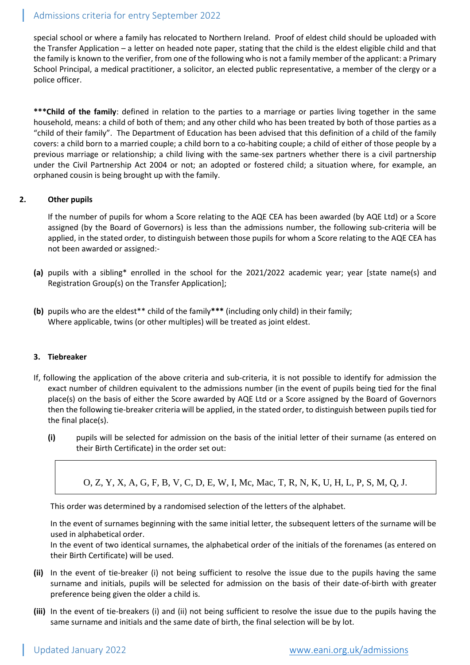# Admissions criteria for entry September 2022

special school or where a family has relocated to Northern Ireland. Proof of eldest child should be uploaded with the Transfer Application – a letter on headed note paper, stating that the child is the eldest eligible child and that the family is known to the verifier, from one of the following who is not a family member of the applicant: a Primary School Principal, a medical practitioner, a solicitor, an elected public representative, a member of the clergy or a police officer.

**\*\*\*Child of the family**: defined in relation to the parties to a marriage or parties living together in the same household, means: a child of both of them; and any other child who has been treated by both of those parties as a "child of their family". The Department of Education has been advised that this definition of a child of the family covers: a child born to a married couple; a child born to a co-habiting couple; a child of either of those people by a previous marriage or relationship; a child living with the same-sex partners whether there is a civil partnership under the Civil Partnership Act 2004 or not; an adopted or fostered child; a situation where, for example, an orphaned cousin is being brought up with the family.

# **2. Other pupils**

If the number of pupils for whom a Score relating to the AQE CEA has been awarded (by AQE Ltd) or a Score assigned (by the Board of Governors) is less than the admissions number, the following sub-criteria will be applied, in the stated order, to distinguish between those pupils for whom a Score relating to the AQE CEA has not been awarded or assigned:-

- **(a)** pupils with a sibling\* enrolled in the school for the 2021/2022 academic year; year [state name(s) and Registration Group(s) on the Transfer Application];
- **(b)** pupils who are the eldest\*\* child of the family**\*\*\*** (including only child) in their family; Where applicable, twins (or other multiples) will be treated as joint eldest.

#### **3. Tiebreaker**

- If, following the application of the above criteria and sub-criteria, it is not possible to identify for admission the exact number of children equivalent to the admissions number (in the event of pupils being tied for the final place(s) on the basis of either the Score awarded by AQE Ltd or a Score assigned by the Board of Governors then the following tie-breaker criteria will be applied, in the stated order, to distinguish between pupils tied for the final place(s).
	- **(i)** pupils will be selected for admission on the basis of the initial letter of their surname (as entered on their Birth Certificate) in the order set out:
		- O, Z, Y, X, A, G, F, B, V, C, D, E, W, I, Mc, Mac, T, R, N, K, U, H, L, P, S, M, Q, J.

This order was determined by a randomised selection of the letters of the alphabet.

In the event of surnames beginning with the same initial letter, the subsequent letters of the surname will be used in alphabetical order.

In the event of two identical surnames, the alphabetical order of the initials of the forenames (as entered on their Birth Certificate) will be used.

- **(ii)** In the event of tie-breaker (i) not being sufficient to resolve the issue due to the pupils having the same surname and initials, pupils will be selected for admission on the basis of their date-of-birth with greater preference being given the older a child is.
- **(iii)** In the event of tie-breakers (i) and (ii) not being sufficient to resolve the issue due to the pupils having the same surname and initials and the same date of birth, the final selection will be by lot.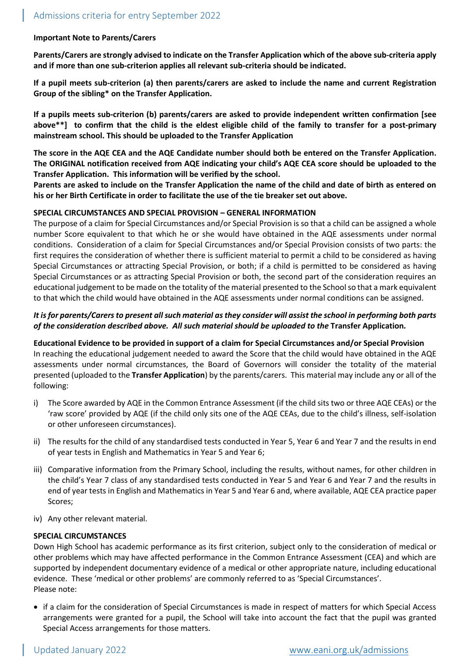### **Important Note to Parents/Carers**

**Parents/Carers are strongly advised to indicate on the Transfer Application which of the above sub-criteria apply and if more than one sub-criterion applies all relevant sub-criteria should be indicated.**

**If a pupil meets sub-criterion (a) then parents/carers are asked to include the name and current Registration Group of the sibling\* on the Transfer Application.**

**If a pupils meets sub-criterion (b) parents/carers are asked to provide independent written confirmation [see above\*\*] to confirm that the child is the eldest eligible child of the family to transfer for a post-primary mainstream school. This should be uploaded to the Transfer Application**

**The score in the AQE CEA and the AQE Candidate number should both be entered on the Transfer Application. The ORIGINAL notification received from AQE indicating your child's AQE CEA score should be uploaded to the Transfer Application. This information will be verified by the school.**

**Parents are asked to include on the Transfer Application the name of the child and date of birth as entered on his or her Birth Certificate in order to facilitate the use of the tie breaker set out above.**

#### **SPECIAL CIRCUMSTANCES AND SPECIAL PROVISION – GENERAL INFORMATION**

The purpose of a claim for Special Circumstances and/or Special Provision is so that a child can be assigned a whole number Score equivalent to that which he or she would have obtained in the AQE assessments under normal conditions. Consideration of a claim for Special Circumstances and/or Special Provision consists of two parts: the first requires the consideration of whether there is sufficient material to permit a child to be considered as having Special Circumstances or attracting Special Provision, or both; if a child is permitted to be considered as having Special Circumstances or as attracting Special Provision or both, the second part of the consideration requires an educational judgement to be made on the totality of the material presented to the School so that a mark equivalent to that which the child would have obtained in the AQE assessments under normal conditions can be assigned.

# *It is for parents/Carers to present all such material as they consider will assist the school in performing both parts of the consideration described above. All such material should be uploaded to the* **Transfer Application***.*

**Educational Evidence to be provided in support of a claim for Special Circumstances and/or Special Provision** In reaching the educational judgement needed to award the Score that the child would have obtained in the AQE assessments under normal circumstances, the Board of Governors will consider the totality of the material presented (uploaded to the **Transfer Application**) by the parents/carers. This material may include any or all of the following:

- i) The Score awarded by AQE in the Common Entrance Assessment (if the child sits two or three AQE CEAs) or the 'raw score' provided by AQE (if the child only sits one of the AQE CEAs, due to the child's illness, self-isolation or other unforeseen circumstances).
- ii) The results for the child of any standardised tests conducted in Year 5, Year 6 and Year 7 and the results in end of year tests in English and Mathematics in Year 5 and Year 6;
- iii) Comparative information from the Primary School, including the results, without names, for other children in the child's Year 7 class of any standardised tests conducted in Year 5 and Year 6 and Year 7 and the results in end of year tests in English and Mathematics in Year 5 and Year 6 and, where available, AQE CEA practice paper Scores;
- iv) Any other relevant material.

#### **SPECIAL CIRCUMSTANCES**

Down High School has academic performance as its first criterion, subject only to the consideration of medical or other problems which may have affected performance in the Common Entrance Assessment (CEA) and which are supported by independent documentary evidence of a medical or other appropriate nature, including educational evidence. These 'medical or other problems' are commonly referred to as 'Special Circumstances'. Please note:

• if a claim for the consideration of Special Circumstances is made in respect of matters for which Special Access arrangements were granted for a pupil, the School will take into account the fact that the pupil was granted Special Access arrangements for those matters.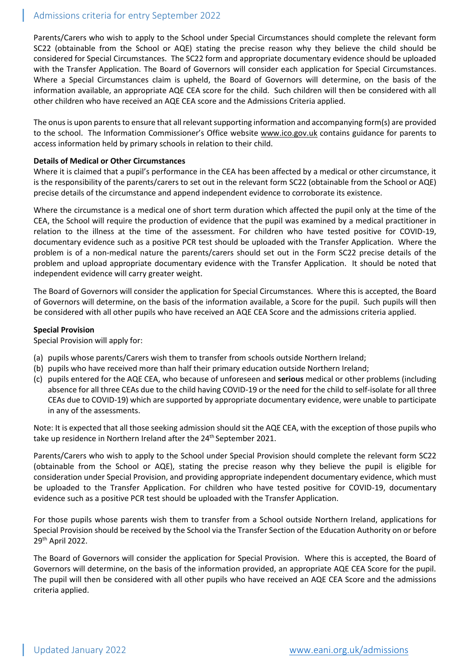# Admissions criteria for entry September 2022

Parents/Carers who wish to apply to the School under Special Circumstances should complete the relevant form SC22 (obtainable from the School or AQE) stating the precise reason why they believe the child should be considered for Special Circumstances. The SC22 form and appropriate documentary evidence should be uploaded with the Transfer Application. The Board of Governors will consider each application for Special Circumstances. Where a Special Circumstances claim is upheld, the Board of Governors will determine, on the basis of the information available, an appropriate AQE CEA score for the child. Such children will then be considered with all other children who have received an AQE CEA score and the Admissions Criteria applied.

The onus is upon parents to ensure that all relevant supporting information and accompanying form(s) are provided to the school. The Information Commissioner's Office website [www.ico.gov.uk](http://www.ico.gov.uk/) contains guidance for parents to access information held by primary schools in relation to their child.

## **Details of Medical or Other Circumstances**

Where it is claimed that a pupil's performance in the CEA has been affected by a medical or other circumstance, it is the responsibility of the parents/carers to set out in the relevant form SC22 (obtainable from the School or AQE) precise details of the circumstance and append independent evidence to corroborate its existence.

Where the circumstance is a medical one of short term duration which affected the pupil only at the time of the CEA, the School will require the production of evidence that the pupil was examined by a medical practitioner in relation to the illness at the time of the assessment. For children who have tested positive for COVID-19, documentary evidence such as a positive PCR test should be uploaded with the Transfer Application. Where the problem is of a non-medical nature the parents/carers should set out in the Form SC22 precise details of the problem and upload appropriate documentary evidence with the Transfer Application. It should be noted that independent evidence will carry greater weight.

The Board of Governors will consider the application for Special Circumstances. Where this is accepted, the Board of Governors will determine, on the basis of the information available, a Score for the pupil. Such pupils will then be considered with all other pupils who have received an AQE CEA Score and the admissions criteria applied.

#### **Special Provision**

Special Provision will apply for:

- (a) pupils whose parents/Carers wish them to transfer from schools outside Northern Ireland;
- (b) pupils who have received more than half their primary education outside Northern Ireland;
- (c) pupils entered for the AQE CEA, who because of unforeseen and **serious** medical or other problems (including absence for all three CEAs due to the child having COVID-19 or the need for the child to self-isolate for all three CEAs due to COVID-19) which are supported by appropriate documentary evidence, were unable to participate in any of the assessments.

Note: It is expected that all those seeking admission should sit the AQE CEA, with the exception of those pupils who take up residence in Northern Ireland after the 24<sup>th</sup> September 2021.

Parents/Carers who wish to apply to the School under Special Provision should complete the relevant form SC22 (obtainable from the School or AQE), stating the precise reason why they believe the pupil is eligible for consideration under Special Provision, and providing appropriate independent documentary evidence, which must be uploaded to the Transfer Application. For children who have tested positive for COVID-19, documentary evidence such as a positive PCR test should be uploaded with the Transfer Application.

For those pupils whose parents wish them to transfer from a School outside Northern Ireland, applications for Special Provision should be received by the School via the Transfer Section of the Education Authority on or before 29th April 2022.

The Board of Governors will consider the application for Special Provision. Where this is accepted, the Board of Governors will determine, on the basis of the information provided, an appropriate AQE CEA Score for the pupil. The pupil will then be considered with all other pupils who have received an AQE CEA Score and the admissions criteria applied.